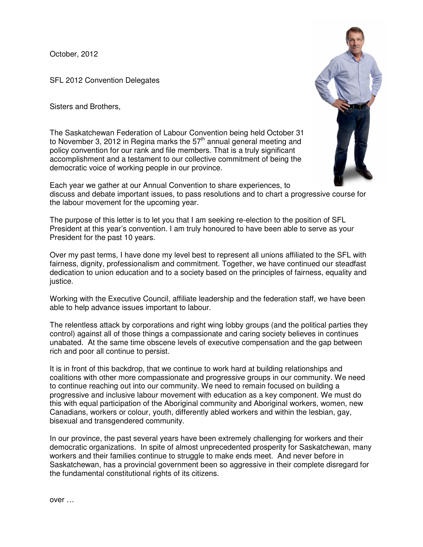October, 2012

SFL 2012 Convention Delegates

Sisters and Brothers,

The Saskatchewan Federation of Labour Convention being held October 31 to November 3, 2012 in Regina marks the  $57<sup>th</sup>$  annual general meeting and policy convention for our rank and file members. That is a truly significant accomplishment and a testament to our collective commitment of being the democratic voice of working people in our province.



Each year we gather at our Annual Convention to share experiences, to discuss and debate important issues, to pass resolutions and to chart a progressive course for the labour movement for the upcoming year.

The purpose of this letter is to let you that I am seeking re-election to the position of SFL President at this year's convention. I am truly honoured to have been able to serve as your President for the past 10 years.

Over my past terms, I have done my level best to represent all unions affiliated to the SFL with fairness, dignity, professionalism and commitment. Together, we have continued our steadfast dedication to union education and to a society based on the principles of fairness, equality and justice.

Working with the Executive Council, affiliate leadership and the federation staff, we have been able to help advance issues important to labour.

The relentless attack by corporations and right wing lobby groups (and the political parties they control) against all of those things a compassionate and caring society believes in continues unabated. At the same time obscene levels of executive compensation and the gap between rich and poor all continue to persist.

It is in front of this backdrop, that we continue to work hard at building relationships and coalitions with other more compassionate and progressive groups in our community. We need to continue reaching out into our community. We need to remain focused on building a progressive and inclusive labour movement with education as a key component. We must do this with equal participation of the Aboriginal community and Aboriginal workers, women, new Canadians, workers or colour, youth, differently abled workers and within the lesbian, gay, bisexual and transgendered community.

In our province, the past several years have been extremely challenging for workers and their democratic organizations. In spite of almost unprecedented prosperity for Saskatchewan, many workers and their families continue to struggle to make ends meet. And never before in Saskatchewan, has a provincial government been so aggressive in their complete disregard for the fundamental constitutional rights of its citizens.